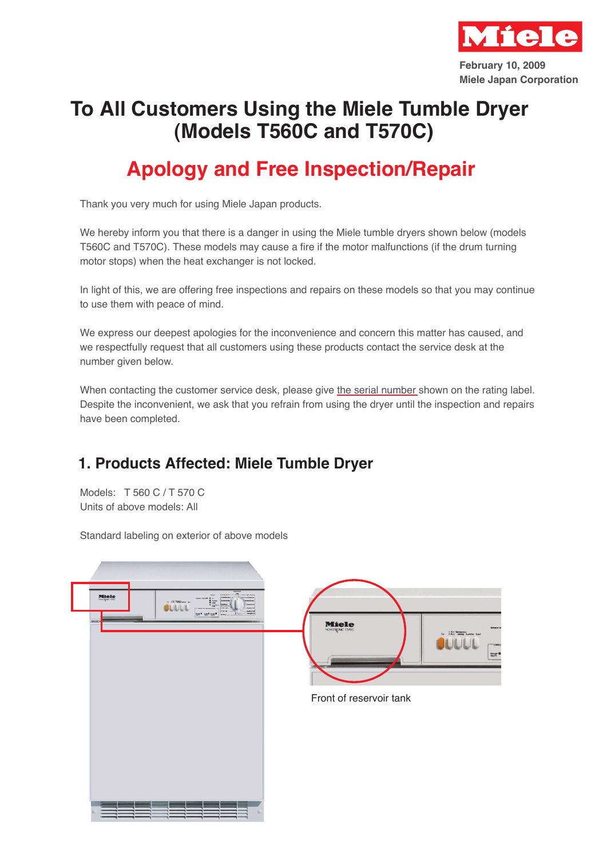

## **To All Customers Using the Miele Tumble Dryer (Models T560C and T570C)**

# **Apology and Free Inspection/Repair**

Thank you very much for using Miele Japan products.

We hereby inform you that there is a danger in using the Miele tumble dryers shown below (models T560C and T570C). These models may cause a fire if the motor malfunctions (if the drum turning motor stops) when the heat exchanger is not locked.

In light of this, we are offering free inspections and repairs on these models so that you may continue to use them with peace of mind.

We express our deepest apologies for the inconvenience and concern this matter has caused, and we respectfully request that all customers using these products contact the service desk at the number given below.

When contacting the customer service desk, please give the serial number shown on the rating label. Despite the inconvenient, we ask that you refrain from using the dryer until the inspection and repairs have been completed.

### **1. Products Affected: Miele Tumble Dryer**

Models: T 560 C / T 570 C Units of above models: All

Standard labeling on exterior of above models